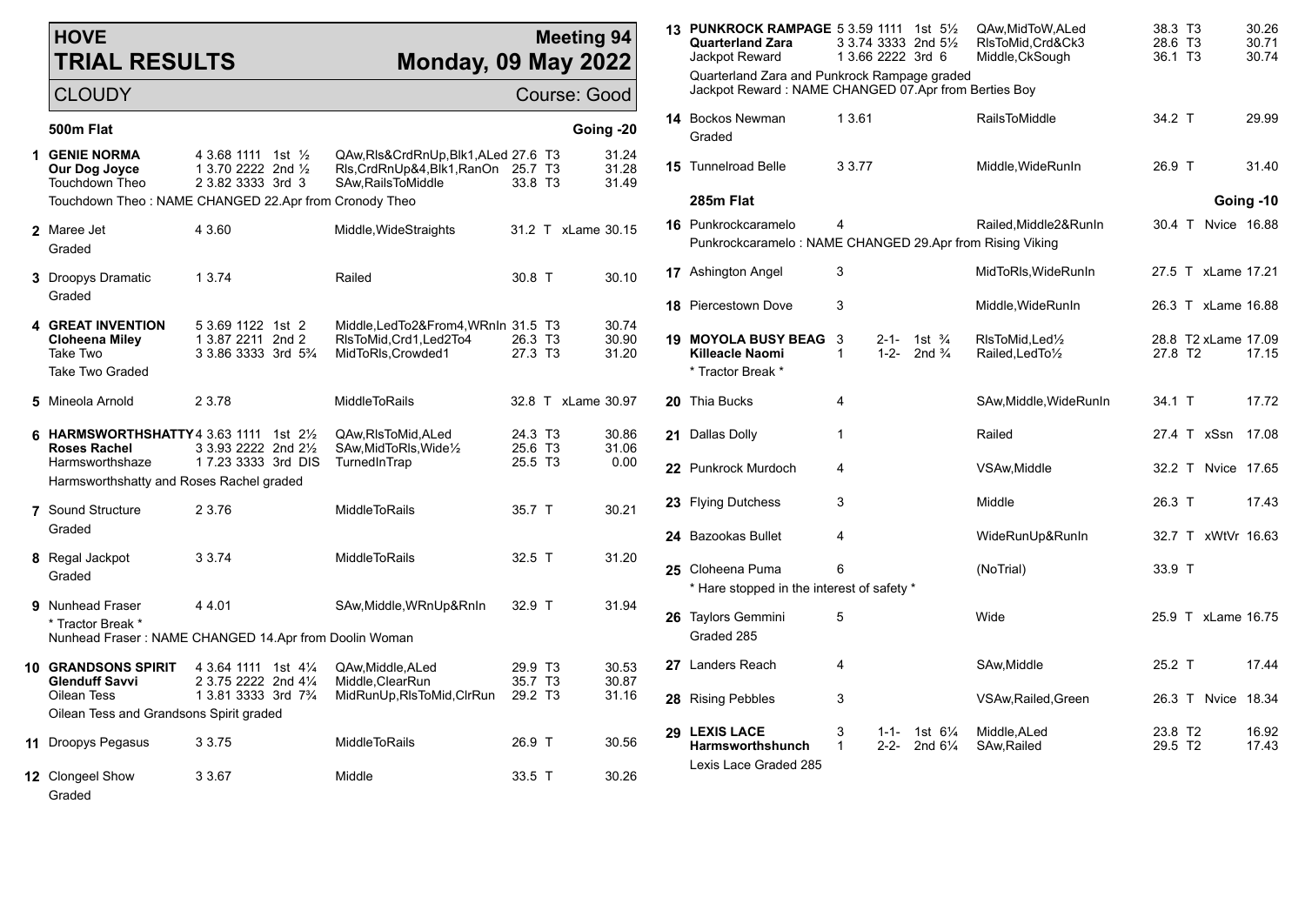## **HOVE TRIAL RESULTS**

Graded

## **Mee Monday, 09 May**

| <b>HOVE</b><br><b>TRIAL RESULTS</b><br><b>Monday, 09 May 2022</b>                              |                                                                                         |                                                                                                 | <b>Meeting 94</b>              |                                 |             | 13 PUNKROCK RAMPAGE 5 3.59 1111 1st 51/2<br><b>Quarterland Zara</b><br>Jackpot Reward                |                       | 3 3.74 3333 2nd 51/2<br>1 3.66 2222 3rd 6                        | QAw.MidToW.ALed<br>RIsToMid, Crd&Ck3<br>Middle, CkSough                                 | 38.3 T3<br>28.6 T3<br>36.1 T3              | 30.26<br>30.71<br>30.74 |
|------------------------------------------------------------------------------------------------|-----------------------------------------------------------------------------------------|-------------------------------------------------------------------------------------------------|--------------------------------|---------------------------------|-------------|------------------------------------------------------------------------------------------------------|-----------------------|------------------------------------------------------------------|-----------------------------------------------------------------------------------------|--------------------------------------------|-------------------------|
| <b>CLOUDY</b>                                                                                  | Course: Good                                                                            |                                                                                                 |                                |                                 |             | Quarterland Zara and Punkrock Rampage graded<br>Jackpot Reward: NAME CHANGED 07.Apr from Berties Boy |                       |                                                                  |                                                                                         |                                            |                         |
| 500m Flat                                                                                      |                                                                                         |                                                                                                 |                                | Going -20                       |             | 14 Bockos Newman<br>Graded                                                                           | 13.61                 |                                                                  | <b>RailsToMiddle</b>                                                                    | 34.2 T                                     | 29.99                   |
| <b>GENIE NORMA</b><br>Our Dog Joyce<br>Touchdown Theo                                          | 4 3.68 1111 1st 1/2<br>1 3.70 2222 2nd 1/2<br>2 3.82 3333 3rd 3                         | QAw, RIs& Crd Rn Up, Blk 1, ALed 27.6 T3<br>RIs, CrdRnUp&4, Blk1, RanOn<br>SAw, Rails To Middle | 25.7 T3<br>33.8 T3             | 31.24<br>31.28<br>31.49         |             | <b>15</b> Tunnelroad Belle                                                                           | 3 3.77                |                                                                  | Middle, WideRunIn                                                                       | 26.9 T                                     | 31.40                   |
| Touchdown Theo: NAME CHANGED 22.Apr from Cronody Theo                                          |                                                                                         |                                                                                                 |                                |                                 |             | 285m Flat                                                                                            |                       |                                                                  |                                                                                         |                                            | Going -10               |
| 2 Maree Jet<br>Graded                                                                          | 4 3.60                                                                                  | Middle, WideStraights                                                                           | 31.2 T xLame 30.15             |                                 |             | 16 Punkrockcaramelo<br>Punkrockcaramelo: NAME CHANGED 29.Apr from Rising Viking                      | 4                     |                                                                  | Railed, Middle2& RunIn                                                                  | 30.4 T Nyice 16.88                         |                         |
| 3 Droopys Dramatic                                                                             | 1 3.74                                                                                  | Railed                                                                                          | 30.8 T                         | 30.10                           |             | 17 Ashington Angel                                                                                   | 3                     |                                                                  | MidToRIs, WideRunIn                                                                     | 27.5 T xLame 17.21                         |                         |
| Graded                                                                                         |                                                                                         |                                                                                                 |                                |                                 |             | <b>18 Piercestown Dove</b>                                                                           | 3                     |                                                                  | Middle, WideRunIn                                                                       | 26.3 T xLame 16.88                         |                         |
| <b>4 GREAT INVENTION</b><br><b>Cloheena Miley</b><br>Take Two                                  | 5 3.69 1122 1st 2<br>1 3.87 2211 2nd 2<br>3 3.86 3333 3rd 5 <sup>3</sup> / <sub>4</sub> | Middle, LedTo2&From4, WRnIn 31.5 T3<br>RIsToMid, Crd1, Led2To4<br>MidToRIs, Crowded1            | 26.3 T <sub>3</sub><br>27.3 T3 | 30.74<br>30.90<br>31.20         |             | <b>19 MOYOLA BUSY BEAG</b><br>Killeacle Naomi                                                        | - 3<br>$\overline{1}$ | $2 - 1 -$<br>1st $\frac{3}{4}$<br>$1 - 2 -$<br>2nd $\frac{3}{4}$ | RIsToMid, Led <sup>1</sup> / <sub>2</sub><br>Railed, Led To <sup>1</sup> / <sub>2</sub> | 28.8 T2 xLame 17.09<br>27.8 T <sub>2</sub> | 17.15                   |
| Take Two Graded                                                                                |                                                                                         |                                                                                                 |                                |                                 |             | * Tractor Break *                                                                                    |                       |                                                                  |                                                                                         |                                            |                         |
| 5 Mineola Arnold                                                                               | 2 3.78                                                                                  | <b>MiddleToRails</b>                                                                            | 32.8 T xLame 30.97             |                                 |             | 20 Thia Bucks                                                                                        | 4                     |                                                                  | SAw, Middle, WideRunIn                                                                  | 34.1 T                                     | 17.72                   |
| 6 HARMSWORTHSHATTY 4 3.63 1111 1st 21/2<br><b>Roses Rachel</b><br>Harmsworthshaze              | 3 3.93 2222 2nd 21/2<br>1 7.23 3333 3rd DIS                                             | QAw, RIsToMid, ALed<br>SAw, MidToRIs, Wide <sup>1/2</sup><br>TurnedInTrap                       | 24.3 T3<br>25.6 T3<br>25.5 T3  | 30.86<br>31.06<br>0.00          |             | 21 Dallas Dolly                                                                                      | $\overline{1}$        |                                                                  | Railed                                                                                  | 27.4 T xSsn 17.08                          |                         |
| Harmsworthshatty and Roses Rachel graded                                                       |                                                                                         |                                                                                                 |                                |                                 |             | 22 Punkrock Murdoch                                                                                  | 4                     |                                                                  | VSAw, Middle                                                                            | 32.2 T Nvice 17.65                         |                         |
| 7 Sound Structure                                                                              | 2 3.76                                                                                  | <b>MiddleToRails</b>                                                                            | 35.7 T                         | 30.21                           |             | 23 Flying Dutchess                                                                                   | 3                     |                                                                  | Middle                                                                                  | 26.3 T                                     | 17.43                   |
| Graded                                                                                         |                                                                                         |                                                                                                 |                                |                                 |             | 24 Bazookas Bullet                                                                                   | 4                     |                                                                  | WideRunUp&RunIn                                                                         | 32.7 T xWtVr 16.63                         |                         |
| 8 Regal Jackpot<br>Graded                                                                      | 3 3 7 4                                                                                 | MiddleToRails                                                                                   | $32.5$ T                       | 31.20                           |             | 25 Cloheena Puma<br>* Hare stopped in the interest of safety *                                       | 6                     |                                                                  | (NoTrial)                                                                               | 33.9 T                                     |                         |
| 9 Nunhead Fraser<br>* Tractor Break *<br>Nunhead Fraser: NAME CHANGED 14.Apr from Doolin Woman | 44.01                                                                                   | SAw, Middle, WRnUp&RnIn                                                                         | 32.9 T                         | 31.94                           |             | 26 Taylors Gemmini<br>Graded 285                                                                     | 5                     |                                                                  | Wide                                                                                    | 25.9 T xLame 16.75                         |                         |
| <b>10 GRANDSONS SPIRIT</b><br><b>Glenduff Savvi</b>                                            | 4 3.64 1111 1st 41/4<br>2 3.75 2222 2nd 41/4                                            | QAw.Middle.ALed<br>Middle, ClearRun                                                             | 29.9 T <sub>3</sub><br>35.7 T3 | 30.53<br>30.87                  |             | 27 Landers Reach                                                                                     | 4                     |                                                                  | SAw, Middle                                                                             | 25.2 T                                     | 17.44                   |
| Oilean Tess                                                                                    | 1 3.81 3333 3rd 7 <sup>3</sup> / <sub>4</sub>                                           | MidRunUp, RIsToMid, CIrRun                                                                      | 29.2 T <sub>3</sub>            | 31.16                           |             | 28 Rising Pebbles                                                                                    | 3                     |                                                                  | VSAw, Railed, Green                                                                     | 26.3 T Nvice 18.34                         |                         |
| Oilean Tess and Grandsons Spirit graded                                                        |                                                                                         | 29 LEXIS LACE                                                                                   | 3                              | $1 - 1 -$<br>1st $6\frac{1}{4}$ | Middle.ALed | 23.8 T <sub>2</sub>                                                                                  | 16.92                 |                                                                  |                                                                                         |                                            |                         |
| 11 Droopys Pegasus                                                                             | 3 3.75                                                                                  | <b>MiddleToRails</b>                                                                            | 26.9 T                         | 30.56                           |             | <b>Harmsworthshunch</b><br>Lexis Lace Graded 285                                                     |                       | $2 - 2 -$<br>2nd $6\frac{1}{4}$                                  | SAw, Railed                                                                             | 29.5 T <sub>2</sub>                        | 17.43                   |
| 12 Clongeel Show                                                                               | 3 3.67                                                                                  | Middle                                                                                          | 33.5 T                         | 30.26                           |             |                                                                                                      |                       |                                                                  |                                                                                         |                                            |                         |